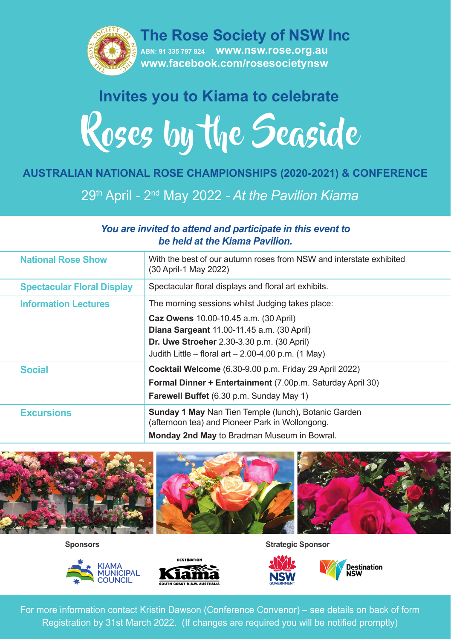

# Roses by the Seaside **Invites you to Kiama to celebrate**

#### **AUSTRALIAN NATIONAL ROSE CHAMPIONSHIPS (2020-2021) & CONFERENCE**

29th April - 2nd May 2022 *- At the Pavilion Kiama*

#### *You are invited to attend and participate in this event to be held at the Kiama Pavilion.*

| <b>National Rose Show</b>         | With the best of our autumn roses from NSW and interstate exhibited<br>(30 April-1 May 2022)                                                                                                                                                                  |
|-----------------------------------|---------------------------------------------------------------------------------------------------------------------------------------------------------------------------------------------------------------------------------------------------------------|
| <b>Spectacular Floral Display</b> | Spectacular floral displays and floral art exhibits.                                                                                                                                                                                                          |
| <b>Information Lectures</b>       | The morning sessions whilst Judging takes place:<br>Caz Owens 10.00-10.45 a.m. (30 April)<br>Diana Sargeant 11.00-11.45 a.m. (30 April)<br><b>Dr. Uwe Stroeher</b> 2.30-3.30 p.m. (30 April)<br>Judith Little – floral art – 2.00-4.00 p.m. $(1 \text{ May})$ |
| <b>Social</b>                     | Cocktail Welcome (6.30-9.00 p.m. Friday 29 April 2022)<br>Formal Dinner + Entertainment (7.00p.m. Saturday April 30)<br><b>Farewell Buffet</b> (6.30 p.m. Sunday May 1)                                                                                       |
| <b>Excursions</b>                 | <b>Sunday 1 May Nan Tien Temple (lunch), Botanic Garden</b><br>(afternoon tea) and Pioneer Park in Wollongong.<br><b>Monday 2nd May to Bradman Museum in Bowral.</b>                                                                                          |







**Sponsors Strategic Sponsor**



For more information contact Kristin Dawson (Conference Convenor) – see details on back of form Registration by 31st March 2022. (If changes are required you will be notified promptly)